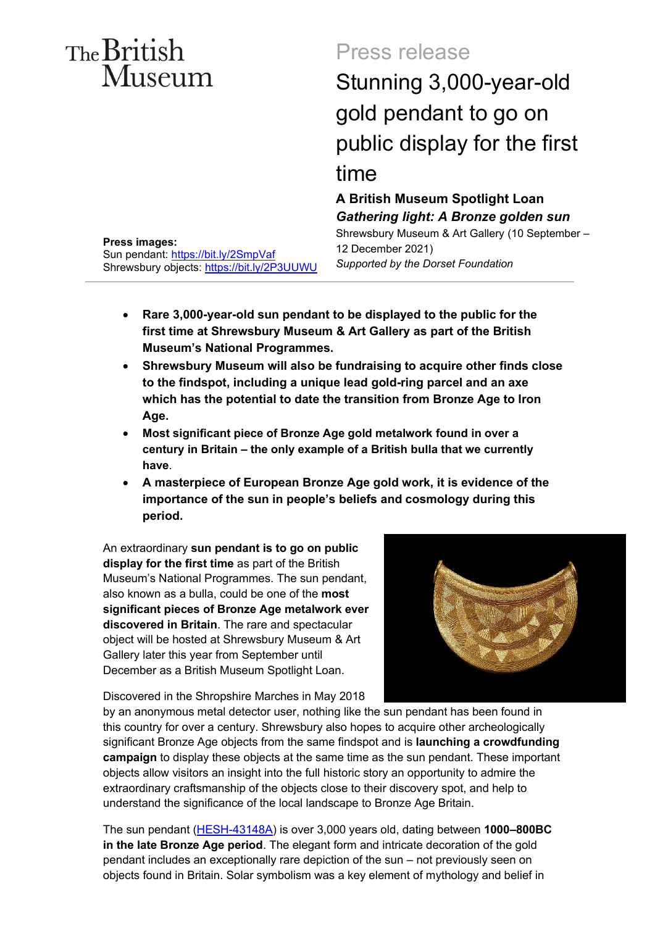# The British Museum

# Press release

Stunning 3,000-year-old gold pendant to go on public display for the first time

**A British Museum Spotlight Loan**  *Gathering light: A Bronze golden sun*  Shrewsbury Museum & Art Gallery (10 September – 12 December 2021)

*Supported by the Dorset Foundation* 

- **Rare 3,000-year-old sun pendant to be displayed to the public for the first time at Shrewsbury Museum & Art Gallery as part of the British Museum's National Programmes.**
- **Shrewsbury Museum will also be fundraising to acquire other finds close to the findspot, including a unique lead gold-ring parcel and an axe which has the potential to date the transition from Bronze Age to Iron Age.**
- **Most significant piece of Bronze Age gold metalwork found in over a century in Britain – the only example of a British bulla that we currently have**.
- **A masterpiece of European Bronze Age gold work, it is evidence of the importance of the sun in people's beliefs and cosmology during this period.**

An extraordinary **sun pendant is to go on public display for the first time** as part of the British Museum's National Programmes. The sun pendant, also known as a bulla, could be one of the **most significant pieces of Bronze Age metalwork ever discovered in Britain**. The rare and spectacular object will be hosted at Shrewsbury Museum & Art Gallery later this year from September until December as a British Museum Spotlight Loan.

Discovered in the Shropshire Marches in May 2018

by an anonymous metal detector user, nothing like the sun pendant has been found in this country for over a century. Shrewsbury also hopes to acquire other archeologically significant Bronze Age objects from the same findspot and is **launching a crowdfunding campaign** to display these objects at the same time as the sun pendant. These important objects allow visitors an insight into the full historic story an opportunity to admire the extraordinary craftsmanship of the objects close to their discovery spot, and help to understand the significance of the local landscape to Bronze Age Britain.

The sun pendant [\(HESH-43148A\)](https://finds.org.uk/database/artefacts/record/id/902916) is over 3,000 years old, dating between **1000–800BC in the late Bronze Age period**. The elegant form and intricate decoration of the gold pendant includes an exceptionally rare depiction of the sun – not previously seen on objects found in Britain. Solar symbolism was a key element of mythology and belief in

# **Press images:**

Sun pendant:<https://bit.ly/2SmpVaf> Shrewsbury objects:<https://bit.ly/2P3UUWU>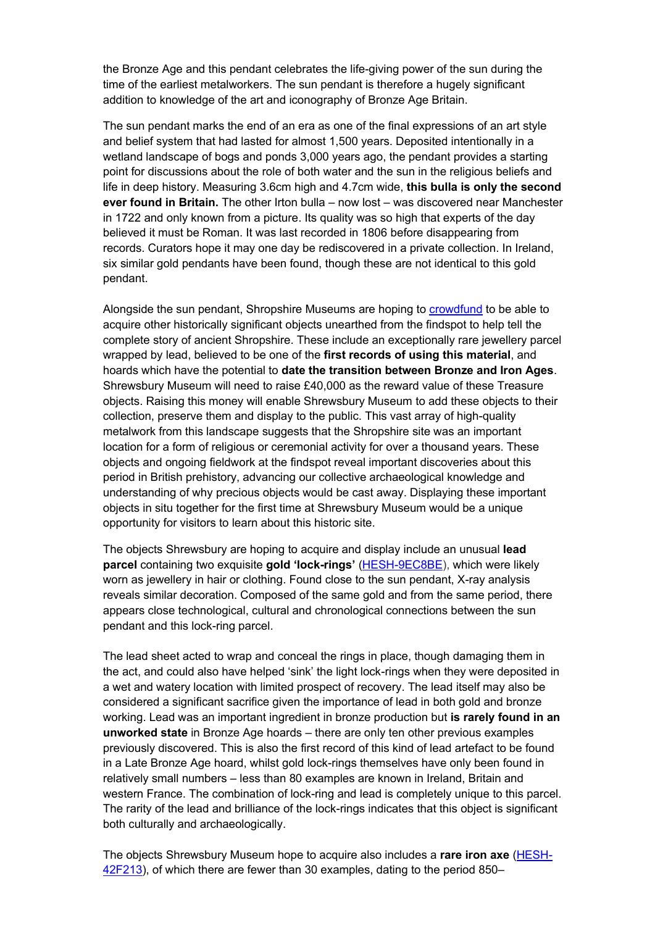time of the earliest metalworkers. The sun pendant is therefore a hugely significant the Bronze Age and this pendant celebrates the life-giving power of the sun during the addition to knowledge of the art and iconography of Bronze Age Britain.

 The sun pendant marks the end of an era as one of the final expressions of an art style and belief system that had lasted for almost 1,500 years. Deposited intentionally in a point for discussions about the role of both water and the sun in the religious beliefs and  life in deep history. Measuring 3.6cm high and 4.7cm wide, **this bulla is only the second ever found in Britain.** The other Irton bulla – now lost – was discovered near Manchester in 1722 and only known from a picture. Its quality was so high that experts of the day believed it must be Roman. It was last recorded in 1806 before disappearing from wetland landscape of bogs and ponds 3,000 years ago, the pendant provides a starting records. Curators hope it may one day be rediscovered in a private collection. In Ireland, six similar gold pendants have been found, though these are not identical to this gold pendant.

 acquire other historically significant objects unearthed from the findspot to help tell the complete story of ancient Shropshire. These include an exceptionally rare jewellery parcel Shrewsbury Museum will need to raise £40,000 as the reward value of these Treasure collection, preserve them and display to the public. This vast array of high-quality location for a form of religious or ceremonial activity for over a thousand years. These period in British prehistory, advancing our collective archaeological knowledge and objects in situ together for the first time at Shrewsbury Museum would be a unique Alongside the sun pendant, Shropshire Museums are hoping to [crowdfund](https://www.crowdfunder.co.uk/keepitinthecounty-1) to be able to wrapped by lead, believed to be one of the **first records of using this material**, and hoards which have the potential to **date the transition between Bronze and Iron Ages**. objects. Raising this money will enable Shrewsbury Museum to add these objects to their metalwork from this landscape suggests that the Shropshire site was an important objects and ongoing fieldwork at the findspot reveal important discoveries about this understanding of why precious objects would be cast away. Displaying these important opportunity for visitors to learn about this historic site.

 worn as jewellery in hair or clothing. Found close to the sun pendant, X-ray analysis appears close technological, cultural and chronological connections between the sun The objects Shrewsbury are hoping to acquire and display include an unusual **lead parcel** containing two exquisite **gold 'lock-rings'** [\(HESH-9EC8BE\)](https://finds.org.uk/database/artefacts/record/id/922717), which were likely reveals similar decoration. Composed of the same gold and from the same period, there pendant and this lock-ring parcel.

 the act, and could also have helped 'sink' the light lock-rings when they were deposited in a wet and watery location with limited prospect of recovery. The lead itself may also be working. Lead was an important ingredient in bronze production but **is rarely found in an**  previously discovered. This is also the first record of this kind of lead artefact to be found in a Late Bronze Age hoard, whilst gold lock-rings themselves have only been found in relatively small numbers – less than 80 examples are known in Ireland, Britain and western France. The combination of lock-ring and lead is completely unique to this parcel. The rarity of the lead and brilliance of the lock-rings indicates that this object is significant The lead sheet acted to wrap and conceal the rings in place, though damaging them in considered a significant sacrifice given the importance of lead in both gold and bronze **unworked state** in Bronze Age hoards – there are only ten other previous examples both culturally and archaeologically.

The objects Shrewsbury Museum hope to acquire also includes a **rare iron axe** [\(HESH-](https://finds.org.uk/database/artefacts/record/id/902912)[42F213\)](https://finds.org.uk/database/artefacts/record/id/902912), of which there are fewer than 30 examples, dating to the period 850–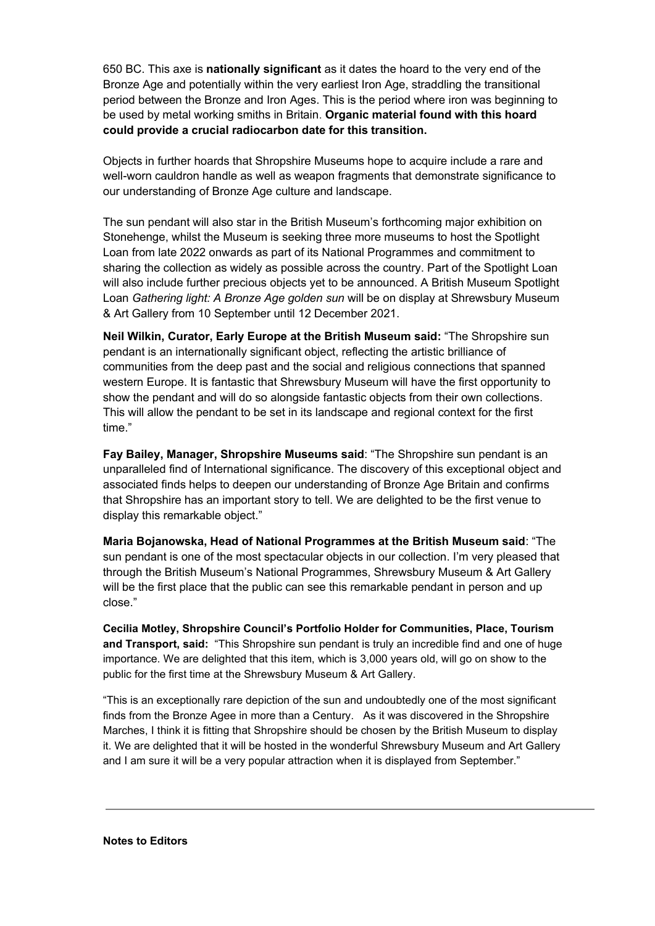Bronze Age and potentially within the very earliest Iron Age, straddling the transitional  be used by metal working smiths in Britain. **Organic material found with this hoard could provide a crucial radiocarbon date for this transition.**  650 BC. This axe is **nationally significant** as it dates the hoard to the very end of the period between the Bronze and Iron Ages. This is the period where iron was beginning to

 well-worn cauldron handle as well as weapon fragments that demonstrate significance to Objects in further hoards that Shropshire Museums hope to acquire include a rare and our understanding of Bronze Age culture and landscape.

 Stonehenge, whilst the Museum is seeking three more museums to host the Spotlight Loan from late 2022 onwards as part of its National Programmes and commitment to sharing the collection as widely as possible across the country. Part of the Spotlight Loan will also include further precious objects yet to be announced. A British Museum Spotlight  Loan *Gathering light: A Bronze Age golden sun* will be on display at Shrewsbury Museum & Art Gallery from 10 September until 12 December 2021. The sun pendant will also star in the British Museum's forthcoming major exhibition on

 **Neil Wilkin, Curator, Early Europe at the British Museum said:** "The Shropshire sun pendant is an internationally significant object, reflecting the artistic brilliance of western Europe. It is fantastic that Shrewsbury Museum will have the first opportunity to show the pendant and will do so alongside fantastic objects from their own collections. This will allow the pendant to be set in its landscape and regional context for the first communities from the deep past and the social and religious connections that spanned time."

 **Fay Bailey, Manager, Shropshire Museums said**: "The Shropshire sun pendant is an unparalleled find of International significance. The discovery of this exceptional object and associated finds helps to deepen our understanding of Bronze Age Britain and confirms that Shropshire has an important story to tell. We are delighted to be the first venue to display this remarkable object."

 **Maria Bojanowska, Head of National Programmes at the British Museum said**: "The sun pendant is one of the most spectacular objects in our collection. I'm very pleased that through the British Museum's National Programmes, Shrewsbury Museum & Art Gallery will be the first place that the public can see this remarkable pendant in person and up close."

 public for the first time at the Shrewsbury Museum & Art Gallery. **Cecilia Motley, Shropshire Council's Portfolio Holder for Communities, Place, Tourism and Transport, said:** "This Shropshire sun pendant is truly an incredible find and one of huge importance. We are delighted that this item, which is 3,000 years old, will go on show to the

 "This is an exceptionally rare depiction of the sun and undoubtedly one of the most significant finds from the Bronze Agee in more than a Century. As it was discovered in the Shropshire and I am sure it will be a very popular attraction when it is displayed from September." Marches, I think it is fitting that Shropshire should be chosen by the British Museum to display it. We are delighted that it will be hosted in the wonderful Shrewsbury Museum and Art Gallery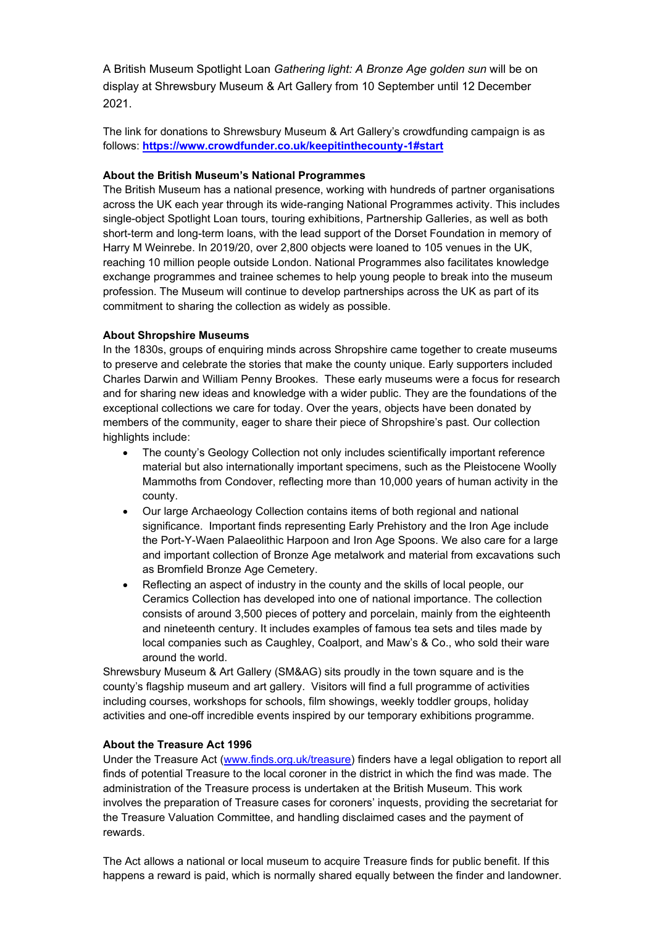A British Museum Spotlight Loan *Gathering light: A Bronze Age golden sun* will be on display at Shrewsbury Museum & Art Gallery from 10 September until 12 December 2021.

The link for donations to Shrewsbury Museum & Art Gallery's crowdfunding campaign is as follows: **<https://www.crowdfunder.co.uk/keepitinthecounty-1#start>**

## **About the British Museum's National Programmes**

 reaching 10 million people outside London. National Programmes also facilitates knowledge exchange programmes and trainee schemes to help young people to break into the museum The British Museum has a national presence, working with hundreds of partner organisations across the UK each year through its wide-ranging National Programmes activity. This includes single-object Spotlight Loan tours, touring exhibitions, Partnership Galleries, as well as both short-term and long-term loans, with the lead support of the Dorset Foundation in memory of Harry M Weinrebe. In 2019/20, over 2,800 objects were loaned to 105 venues in the UK, profession. The Museum will continue to develop partnerships across the UK as part of its commitment to sharing the collection as widely as possible.

# **About Shropshire Museums**

 members of the community, eager to share their piece of Shropshire's past. Our collection In the 1830s, groups of enquiring minds across Shropshire came together to create museums to preserve and celebrate the stories that make the county unique. Early supporters included Charles Darwin and William Penny Brookes. These early museums were a focus for research and for sharing new ideas and knowledge with a wider public. They are the foundations of the exceptional collections we care for today. Over the years, objects have been donated by highlights include:

- • The county's Geology Collection not only includes scientifically important reference material but also internationally important specimens, such as the Pleistocene Woolly Mammoths from Condover, reflecting more than 10,000 years of human activity in the county.
- significance. Important finds representing Early Prehistory and the Iron Age include the Port-Y-Waen Palaeolithic Harpoon and Iron Age Spoons. We also care for a large • Our large Archaeology Collection contains items of both regional and national and important collection of Bronze Age metalwork and material from excavations such as Bromfield Bronze Age Cemetery.
- Reflecting an aspect of industry in the county and the skills of local people, our Ceramics Collection has developed into one of national importance. The collection consists of around 3,500 pieces of pottery and porcelain, mainly from the eighteenth and nineteenth century. It includes examples of famous tea sets and tiles made by local companies such as Caughley, Coalport, and Maw's & Co., who sold their ware around the world.

Shrewsbury Museum & Art Gallery (SM&AG) sits proudly in the town square and is the county's flagship museum and art gallery. Visitors will find a full programme of activities including courses, workshops for schools, film showings, weekly toddler groups, holiday activities and one-off incredible events inspired by our temporary exhibitions programme.

## **About the Treasure Act 1996**

Under the Treasure Act [\(www.finds.org.uk/treasure\)](http://www.finds.org.uk/treasure) finders have a legal obligation to report all finds of potential Treasure to the local coroner in the district in which the find was made. The administration of the Treasure process is undertaken at the British Museum. This work involves the preparation of Treasure cases for coroners' inquests, providing the secretariat for the Treasure Valuation Committee, and handling disclaimed cases and the payment of rewards.

The Act allows a national or local museum to acquire Treasure finds for public benefit. If this happens a reward is paid, which is normally shared equally between the finder and landowner.